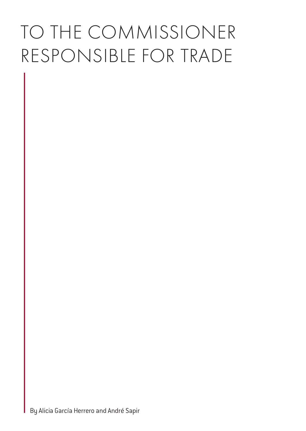# TO THE COMMISSIONER RESPONSIBLE FOR TRADE

By Alicia García Herrero and André Sapir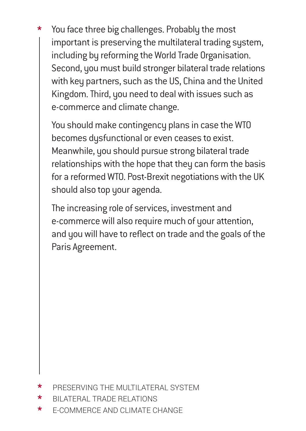\* You face three big challenges. Probably the most important is preserving the multilateral trading system, including by reforming the World Trade Organisation. Second, you must build stronger bilateral trade relations with key partners, such as the US, China and the United Kingdom. Third, you need to deal with issues such as e-commerce and climate change.

 You should make contingency plans in case the WTO becomes dysfunctional or even ceases to exist. Meanwhile, you should pursue strong bilateral trade relationships with the hope that they can form the basis for a reformed WTO. Post-Brexit negotiations with the UK should also top your agenda.

 The increasing role of services, investment and e-commerce will also require much of your attention, and you will have to reflect on trade and the goals of the Paris Agreement.

- PRESERVING THE MULTILATERAL SYSTEM
- \* BILATERAL TRADE RELATIONS
- \* E-COMMERCE AND CLIMATE CHANGE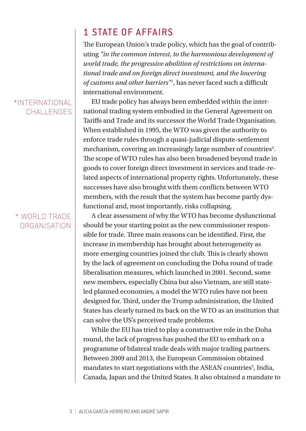#### \*INTERNATIONAL CHALL ENGES

#### \* WORLD TRADE ORGANISATION

## 1 STATE OF AFFAIRS

The European Union's trade policy, which has the goal of contributing *"in the common interest, to the harmonious development of world trade, the progressive abolition of restrictions on international trade and on foreign direct investment, and the lowering of customs and other barriers"1* , has never faced such a difficult international environment.

EU trade policy has always been embedded within the international trading system embodied in the General Agreement on Tariffs and Trade and its successor the World Trade Organisation. When established in 1995, the WTO was given the authority to enforce trade rules through a quasi-judicial dispute-settlement mechanism, covering an increasingly large number of countries<sup>2</sup>. The scope of WTO rules has also been broadened beyond trade in goods to cover foreign direct investment in services and trade-related aspects of international property rights. Unfortunately, these successes have also brought with them conflicts between WTO members, with the result that the system has become partly dysfunctional and, most importantly, risks collapsing.

A clear assessment of why the WTO has become dysfunctional should be your starting point as the new commissioner responsible for trade. Three main reasons can be identified. First, the increase in membership has brought about heterogeneity as more emerging countries joined the club. This is clearly shown by the lack of agreement on concluding the Doha round of trade liberalisation measures, which launched in 2001. Second, some new members, especially China but also Vietnam, are still stateled planned economies, a model the WTO rules have not been designed for. Third, under the Trump administration, the United States has clearly turned its back on the WTO as an institution that can solve the US's perceived trade problems.

While the EU has tried to play a constructive role in the Doha round, the lack of progress has pushed the EU to embark on a programme of bilateral trade deals with major trading partners. Between 2009 and 2013, the European Commission obtained mandates to start negotiations with the ASEAN countries<sup>3</sup>, India, Canada, Japan and the United States. It also obtained a mandate to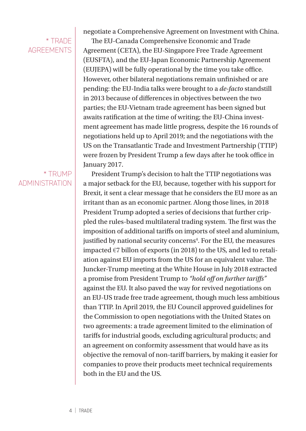## \* TRADE **AGREEMENTS**

#### \* TRUMP ADMINISTRATION

negotiate a Comprehensive Agreement on Investment with China.

The EU-Canada Comprehensive Economic and Trade Agreement (CETA), the EU-Singapore Free Trade Agreement (EUSFTA), and the EU-Japan Economic Partnership Agreement (EUJEPA) will be fully operational by the time you take office. However, other bilateral negotiations remain unfinished or are pending: the EU-India talks were brought to a *de-facto* standstill in 2013 because of differences in objectives between the two parties; the EU-Vietnam trade agreement has been signed but awaits ratification at the time of writing; the EU-China investment agreement has made little progress, despite the 16 rounds of negotiations held up to April 2019; and the negotiations with the US on the Transatlantic Trade and Investment Partnership (TTIP) were frozen by President Trump a few days after he took office in January 2017.

President Trump's decision to halt the TTIP negotiations was a major setback for the EU, because, together with his support for Brexit, it sent a clear message that he considers the EU more as an irritant than as an economic partner. Along those lines, in 2018 President Trump adopted a series of decisions that further crippled the rules-based multilateral trading system. The first was the imposition of additional tariffs on imports of steel and aluminium, justified by national security concerns<sup>4</sup>. For the EU, the measures impacted  $\epsilon$ 7 billon of exports (in 2018) to the US, and led to retaliation against EU imports from the US for an equivalent value. The Juncker-Trump meeting at the White House in July 2018 extracted a promise from President Trump to *"hold off on further tariffs"* against the EU. It also paved the way for revived negotiations on an EU-US trade free trade agreement, though much less ambitious than TTIP. In April 2019, the EU Council approved guidelines for the Commission to open negotiations with the United States on two agreements: a trade agreement limited to the elimination of tariffs for industrial goods, excluding agricultural products; and an agreement on conformity assessment that would have as its objective the removal of non-tariff barriers, by making it easier for companies to prove their products meet technical requirements both in the EU and the US.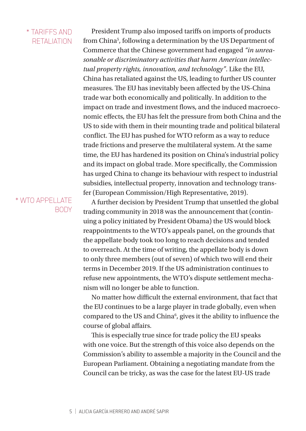#### \* TARIFFS AND RETALIATION

President Trump also imposed tariffs on imports of products from China5 , following a determination by the US Department of Commerce that the Chinese government had engaged *"in unreasonable or discriminatory activities that harm American intellectual property rights, innovation, and technology"*. Like the EU, China has retaliated against the US, leading to further US counter measures. The EU has inevitably been affected by the US-China trade war both economically and politically. In addition to the impact on trade and investment flows, and the induced macroeconomic effects, the EU has felt the pressure from both China and the US to side with them in their mounting trade and political bilateral conflict. The EU has pushed for WTO reform as a way to reduce trade frictions and preserve the multilateral system. At the same time, the EU has hardened its position on China's industrial policy and its impact on global trade. More specifically, the Commission has urged China to change its behaviour with respect to industrial subsidies, intellectual property, innovation and technology transfer (European Commission/High Representative, 2019).

#### \* WTO APPELLATE **BODY**

A further decision by President Trump that unsettled the global trading community in 2018 was the announcement that (continuing a policy initiated by President Obama) the US would block reappointments to the WTO's appeals panel, on the grounds that the appellate body took too long to reach decisions and tended to overreach. At the time of writing, the appellate body is down to only three members (out of seven) of which two will end their terms in December 2019. If the US administration continues to refuse new appointments, the WTO's dispute settlement mechanism will no longer be able to function.

No matter how difficult the external environment, that fact that the EU continues to be a large player in trade globally, even when compared to the US and China<sup>6</sup>, gives it the ability to influence the course of global affairs.

This is especially true since for trade policy the EU speaks with one voice. But the strength of this voice also depends on the Commission's ability to assemble a majority in the Council and the European Parliament. Obtaining a negotiating mandate from the Council can be tricky, as was the case for the latest EU-US trade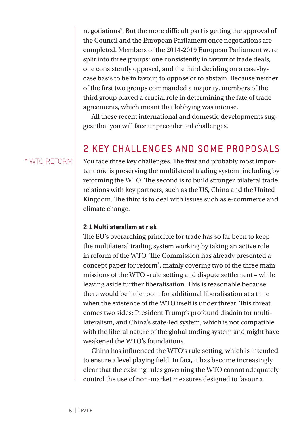negotiations7 . But the more difficult part is getting the approval of the Council and the European Parliament once negotiations are completed. Members of the 2014-2019 European Parliament were split into three groups: one consistently in favour of trade deals, one consistently opposed, and the third deciding on a case-bycase basis to be in favour, to oppose or to abstain. Because neither of the first two groups commanded a majority, members of the third group played a crucial role in determining the fate of trade agreements, which meant that lobbying was intense.

All these recent international and domestic developments suggest that you will face unprecedented challenges.

## 2 KEY CHALLENGES AND SOME PROPOSALS

#### \* WTO REFORM

You face three key challenges. The first and probably most important one is preserving the multilateral trading system, including by reforming the WTO. The second is to build stronger bilateral trade relations with key partners, such as the US, China and the United Kingdom. The third is to deal with issues such as e-commerce and climate change.

#### **2.1 Multilateralism at risk**

The EU's overarching principle for trade has so far been to keep the multilateral trading system working by taking an active role in reform of the WTO. The Commission has already presented a concept paper for reform<sup>8</sup>, mainly covering two of the three main missions of the WTO –rule setting and dispute settlement – while leaving aside further liberalisation. This is reasonable because there would be little room for additional liberalisation at a time when the existence of the WTO itself is under threat. This threat comes two sides: President Trump's profound disdain for multilateralism, and China's state-led system, which is not compatible with the liberal nature of the global trading system and might have weakened the WTO's foundations.

China has influenced the WTO's rule setting, which is intended to ensure a level playing field. In fact, it has become increasingly clear that the existing rules governing the WTO cannot adequately control the use of non-market measures designed to favour a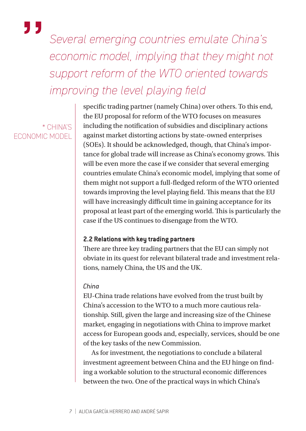*Several emerging countries emulate China's economic model, implying that they might not support reform of the WTO oriented towards improving the level playing field*

\* CHINA'S ECONOMIC MODEL

"

specific trading partner (namely China) over others. To this end, the EU proposal for reform of the WTO focuses on measures including the notification of subsidies and disciplinary actions against market distorting actions by state-owned enterprises (SOEs). It should be acknowledged, though, that China's importance for global trade will increase as China's economy grows. This will be even more the case if we consider that several emerging countries emulate China's economic model, implying that some of them might not support a full-fledged reform of the WTO oriented towards improving the level playing field. This means that the EU will have increasingly difficult time in gaining acceptance for its proposal at least part of the emerging world. This is particularly the case if the US continues to disengage from the WTO.

#### **2.2 Relations with key trading partners**

There are three key trading partners that the EU can simply not obviate in its quest for relevant bilateral trade and investment relations, namely China, the US and the UK.

#### *China*

EU-China trade relations have evolved from the trust built by China's accession to the WTO to a much more cautious relationship. Still, given the large and increasing size of the Chinese market, engaging in negotiations with China to improve market access for European goods and, especially, services, should be one of the key tasks of the new Commission.

As for investment, the negotiations to conclude a bilateral investment agreement between China and the EU hinge on finding a workable solution to the structural economic differences between the two. One of the practical ways in which China's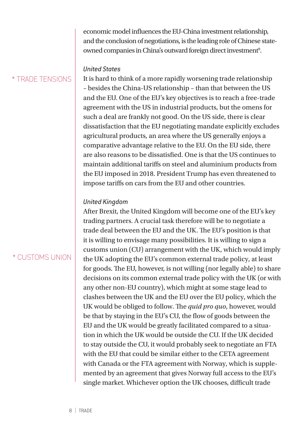economic model influences the EU-China investment relationship, and the conclusion of negotiations, is the leading role of Chinese stateowned companies in China's outward foreign direct investment<sup>9</sup>.

#### \* TRADE TENSIONS

It is hard to think of a more rapidly worsening trade relationship – besides the China-US relationship – than that between the US and the EU. One of the EU's key objectives is to reach a free-trade agreement with the US in industrial products, but the omens for such a deal are frankly not good. On the US side, there is clear dissatisfaction that the EU negotiating mandate explicitly excludes agricultural products, an area where the US generally enjoys a comparative advantage relative to the EU. On the EU side, there are also reasons to be dissatisfied. One is that the US continues to maintain additional tariffs on steel and aluminium products from the EU imposed in 2018. President Trump has even threatened to impose tariffs on cars from the EU and other countries.

#### *United Kingdom*

*United States*

After Brexit, the United Kingdom will become one of the EU's key trading partners. A crucial task therefore will be to negotiate a trade deal between the EU and the UK. The EU's position is that it is willing to envisage many possibilities. It is willing to sign a customs union (CU) arrangement with the UK, which would imply the UK adopting the EU's common external trade policy, at least for goods. The EU, however, is not willing (nor legally able) to share decisions on its common external trade policy with the UK (or with any other non-EU country), which might at some stage lead to clashes between the UK and the EU over the EU policy, which the UK would be obliged to follow. The *quid pro quo*, however, would be that by staying in the EU's CU, the flow of goods between the EU and the UK would be greatly facilitated compared to a situation in which the UK would be outside the CU. If the UK decided to stay outside the CU, it would probably seek to negotiate an FTA with the EU that could be similar either to the CETA agreement with Canada or the FTA agreement with Norway, which is supplemented by an agreement that gives Norway full access to the EU's single market. Whichever option the UK chooses, difficult trade

### \* CUSTOMS UNION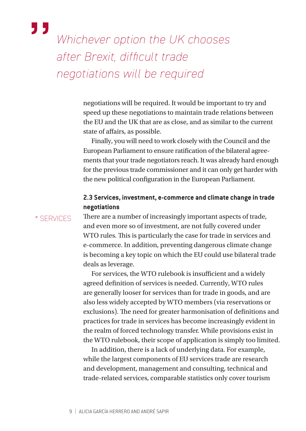## "

*Whichever option the UK chooses after Brexit, difficult trade negotiations will be required*

> negotiations will be required. It would be important to try and speed up these negotiations to maintain trade relations between the EU and the UK that are as close, and as similar to the current state of affairs, as possible.

Finally, you will need to work closely with the Council and the European Parliament to ensure ratification of the bilateral agreements that your trade negotiators reach. It was already hard enough for the previous trade commissioner and it can only get harder with the new political configuration in the European Parliament.

#### **2.3 Services, investment, e-commerce and climate change in trade negotiations**

\* SERVICES

There are a number of increasingly important aspects of trade, and even more so of investment, are not fully covered under WTO rules. This is particularly the case for trade in services and e-commerce. In addition, preventing dangerous climate change is becoming a key topic on which the EU could use bilateral trade deals as leverage.

For services, the WTO rulebook is insufficient and a widely agreed definition of services is needed. Currently, WTO rules are generally looser for services than for trade in goods, and are also less widely accepted by WTO members (via reservations or exclusions). The need for greater harmonisation of definitions and practices for trade in services has become increasingly evident in the realm of forced technology transfer. While provisions exist in the WTO rulebook, their scope of application is simply too limited.

In addition, there is a lack of underlying data. For example, while the largest components of EU services trade are research and development, management and consulting, technical and trade-related services, comparable statistics only cover tourism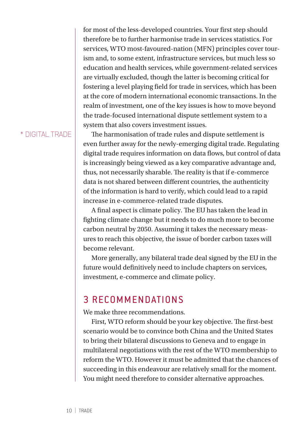for most of the less-developed countries. Your first step should therefore be to further harmonise trade in services statistics. For services, WTO most-favoured-nation (MFN) principles cover tourism and, to some extent, infrastructure services, but much less so education and health services, while government-related services are virtually excluded, though the latter is becoming critical for fostering a level playing field for trade in services, which has been at the core of modern international economic transactions. In the realm of investment, one of the key issues is how to move beyond the trade-focused international dispute settlement system to a system that also covers investment issues.

#### \* DIGITAL TRADE

The harmonisation of trade rules and dispute settlement is even further away for the newly-emerging digital trade. Regulating digital trade requires information on data flows, but control of data is increasingly being viewed as a key comparative advantage and, thus, not necessarily sharable. The reality is that if e-commerce data is not shared between different countries, the authenticity of the information is hard to verify, which could lead to a rapid increase in e-commerce-related trade disputes.

A final aspect is climate policy. The EU has taken the lead in fighting climate change but it needs to do much more to become carbon neutral by 2050. Assuming it takes the necessary measures to reach this objective, the issue of border carbon taxes will become relevant.

More generally, any bilateral trade deal signed by the EU in the future would definitively need to include chapters on services, investment, e-commerce and climate policy.

## 3 RECOMMENDATIONS

We make three recommendations.

First, WTO reform should be your key objective. The first-best scenario would be to convince both China and the United States to bring their bilateral discussions to Geneva and to engage in multilateral negotiations with the rest of the WTO membership to reform the WTO. However it must be admitted that the chances of succeeding in this endeavour are relatively small for the moment. You might need therefore to consider alternative approaches.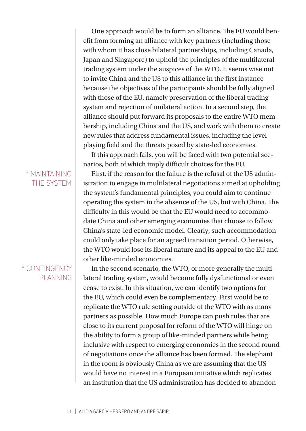One approach would be to form an alliance. The EU would benefit from forming an alliance with key partners (including those with whom it has close bilateral partnerships, including Canada, Japan and Singapore) to uphold the principles of the multilateral trading system under the auspices of the WTO. It seems wise not to invite China and the US to this alliance in the first instance because the objectives of the participants should be fully aligned with those of the EU, namely preservation of the liberal trading system and rejection of unilateral action. In a second step, the alliance should put forward its proposals to the entire WTO membership, including China and the US, and work with them to create new rules that address fundamental issues, including the level playing field and the threats posed by state-led economies.

If this approach fails, you will be faced with two potential scenarios, both of which imply difficult choices for the EU.

\* MAINTAINING THE SYSTEM

#### \* CONTINGENCY PLANNING

First, if the reason for the failure is the refusal of the US administration to engage in multilateral negotiations aimed at upholding the system's fundamental principles, you could aim to continue operating the system in the absence of the US, but with China. The difficulty in this would be that the EU would need to accommodate China and other emerging economies that choose to follow China's state-led economic model. Clearly, such accommodation could only take place for an agreed transition period. Otherwise, the WTO would lose its liberal nature and its appeal to the EU and other like-minded economies.

In the second scenario, the WTO, or more generally the multilateral trading system, would become fully dysfunctional or even cease to exist. In this situation, we can identify two options for the EU, which could even be complementary. First would be to replicate the WTO rule setting outside of the WTO with as many partners as possible. How much Europe can push rules that are close to its current proposal for reform of the WTO will hinge on the ability to form a group of like-minded partners while being inclusive with respect to emerging economies in the second round of negotiations once the alliance has been formed. The elephant in the room is obviously China as we are assuming that the US would have no interest in a European initiative which replicates an institution that the US administration has decided to abandon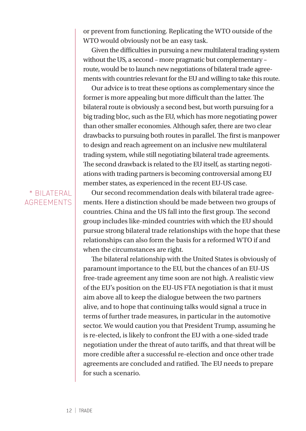or prevent from functioning. Replicating the WTO outside of the WTO would obviously not be an easy task.

Given the difficulties in pursuing a new multilateral trading system without the US, a second – more pragmatic but complementary – route, would be to launch new negotiations of bilateral trade agreements with countries relevant for the EU and willing to take this route.

Our advice is to treat these options as complementary since the former is more appealing but more difficult than the latter. The bilateral route is obviously a second best, but worth pursuing for a big trading bloc, such as the EU, which has more negotiating power than other smaller economies. Although safer, there are two clear drawbacks to pursuing both routes in parallel. The first is manpower to design and reach agreement on an inclusive new multilateral trading system, while still negotiating bilateral trade agreements. The second drawback is related to the EU itself, as starting negotiations with trading partners is becoming controversial among EU member states, as experienced in the recent EU-US case.

#### \* BILATERAL **AGREEMENTS**

Our second recommendation deals with bilateral trade agreements. Here a distinction should be made between two groups of countries. China and the US fall into the first group. The second group includes like-minded countries with which the EU should pursue strong bilateral trade relationships with the hope that these relationships can also form the basis for a reformed WTO if and when the circumstances are right.

The bilateral relationship with the United States is obviously of paramount importance to the EU, but the chances of an EU-US free-trade agreement any time soon are not high. A realistic view of the EU's position on the EU-US FTA negotiation is that it must aim above all to keep the dialogue between the two partners alive, and to hope that continuing talks would signal a truce in terms of further trade measures, in particular in the automotive sector. We would caution you that President Trump, assuming he is re-elected, is likely to confront the EU with a one-sided trade negotiation under the threat of auto tariffs, and that threat will be more credible after a successful re-election and once other trade agreements are concluded and ratified. The EU needs to prepare for such a scenario.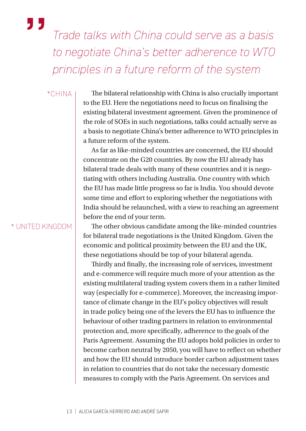*Trade talks with China could serve as a basis to negotiate China's better adherence to WTO principles in a future reform of the system*

#### \*CHINA

"

The bilateral relationship with China is also crucially important to the EU. Here the negotiations need to focus on finalising the existing bilateral investment agreement. Given the prominence of the role of SOEs in such negotiations, talks could actually serve as a basis to negotiate China's better adherence to WTO principles in a future reform of the system.

As far as like-minded countries are concerned, the EU should concentrate on the G20 countries. By now the EU already has bilateral trade deals with many of these countries and it is negotiating with others including Australia. One country with which the EU has made little progress so far is India. You should devote some time and effort to exploring whether the negotiations with India should be relaunched, with a view to reaching an agreement before the end of your term.

#### \* UNITED KINGDOM

The other obvious candidate among the like-minded countries for bilateral trade negotiations is the United Kingdom. Given the economic and political proximity between the EU and the UK, these negotiations should be top of your bilateral agenda.

Thirdly and finally, the increasing role of services, investment and e-commerce will require much more of your attention as the existing multilateral trading system covers them in a rather limited way (especially for e-commerce). Moreover, the increasing importance of climate change in the EU's policy objectives will result in trade policy being one of the levers the EU has to influence the behaviour of other trading partners in relation to environmental protection and, more specifically, adherence to the goals of the Paris Agreement. Assuming the EU adopts bold policies in order to become carbon neutral by 2050, you will have to reflect on whether and how the EU should introduce border carbon adjustment taxes in relation to countries that do not take the necessary domestic measures to comply with the Paris Agreement. On services and